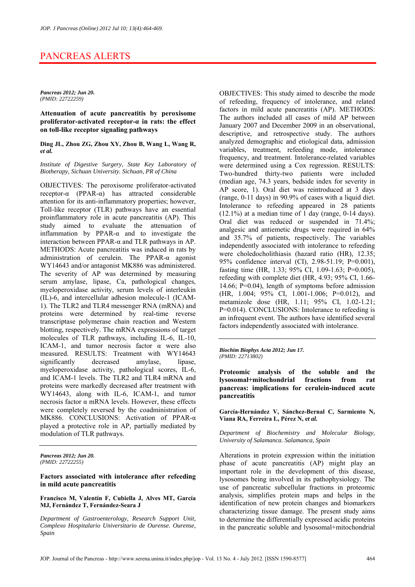# PANCREAS ALERTS

*Pancreas 2012; Jun 20. (PMID: 22722259)* 

**Attenuation of acute pancreatitis by peroxisome proliferator-activated receptor-α in rats: the effect on toll-like receptor signaling pathways** 

**Ding JL, Zhou ZG, Zhou XY, Zhou B, Wang L, Wang R, e***t al.*

*Institute of Digestive Surgery, State Key Laboratory of Biotherapy, Sichuan University. Sichuan, PR of China* 

OBJECTIVES: The peroxisome proliferator-activated receptor-α (PPAR-α) has attracted considerable attention for its anti-inflammatory properties; however, Toll-like receptor (TLR) pathways have an essential proinflammatory role in acute pancreatitis (AP). This study aimed to evaluate the attenuation of inflammation by PPAR-α and to investigate the interaction between PPAR-α and TLR pathways in AP. METHODS: Acute pancreatitis was induced in rats by administration of cerulein. The PPAR-α agonist WY14643 and/or antagonist MK886 was administered. The severity of AP was determined by measuring serum amylase, lipase, Ca, pathological changes, myeloperoxidase activity, serum levels of interleukin (IL)-6, and intercellular adhesion molecule-1 (ICAM-1). The TLR2 and TLR4 messenger RNA (mRNA) and proteins were determined by real-time reverse transcriptase polymerase chain reaction and Western blotting, respectively. The mRNA expressions of target molecules of TLR pathways, including IL-6, IL-10, ICAM-1, and tumor necrosis factor  $\alpha$  were also measured. RESULTS: Treatment with WY14643 significantly decreased amylase, lipase, myeloperoxidase activity, pathological scores, IL-6, and ICAM-1 levels. The TLR2 and TLR4 mRNA and proteins were markedly decreased after treatment with WY14643, along with IL-6, ICAM-1, and tumor necrosis factor α mRNA levels. However, these effects were completely reversed by the coadministration of MK886. CONCLUSIONS: Activation of PPAR-α played a protective role in AP, partially mediated by modulation of TLR pathways.

*Pancreas 2012; Jun 20. (PMID: 22722255)* 

**Factors associated with intolerance after refeeding in mild acute pancreatitis** 

**Francisco M, Valentín F, Cubiella J, Alves MT, García MJ, Fernández T, Fernández-Seara J** 

*Department of Gastroenterology, Research Support Unit, Complexo Hospitalario Universitario de Ourense. Ourense, Spain* 

OBJECTIVES: This study aimed to describe the mode of refeeding, frequency of intolerance, and related factors in mild acute pancreatitis (AP). METHODS: The authors included all cases of mild AP between January 2007 and December 2009 in an observational, descriptive, and retrospective study. The authors analyzed demographic and etiological data, admission variables, treatment, refeeding mode, intolerance frequency, and treatment. Intolerance-related variables were determined using a Cox regression. RESULTS: Two-hundred thirty-two patients were included (median age, 74.3 years, bedside index for severity in AP score, 1). Oral diet was reintroduced at 3 days (range, 0-11 days) in 90.9% of cases with a liquid diet. Intolerance to refeeding appeared in 28 patients  $(12.1\%)$  at a median time of 1 day (range, 0-14 days). Oral diet was reduced or suspended in 71.4%; analgesic and antiemetic drugs were required in 64% and 35.7% of patients, respectively. The variables independently associated with intolerance to refeeding were choledocholithiasis (hazard ratio (HR), 12.35; 95% confidence interval (CI), 2.98-51.19; P=0.001), fasting time (HR, 1.33; 95% CI, 1.09-1.63; P=0.005), refeeding with complete diet (HR, 4.93; 95% CI, 1.66- 14.66; P=0.04), length of symptoms before admission (HR, 1.004; 95% CI, 1.001-1.006; P=0.012), and metamizole dose (HR, 1.11; 95% CI, 1.02-1.21; P=0.014). CONCLUSIONS: Intolerance to refeeding is an infrequent event. The authors have identified several factors independently associated with intolerance.

*Biochim Biophys Acta 2012; Jun 17. (PMID: 22713802)* 

**Proteomic analysis of the soluble and the lysosomal+mitochondrial fractions from rat pancreas: implications for cerulein-induced acute pancreatitis** 

**García-Hernández V, Sánchez-Bernal C, Sarmiento N, Viana RA, Ferreira L, Pérez N, e***t al.*

*Department of Biochemistry and Molecular Biology, University of Salamanca. Salamanca, Spain* 

Alterations in protein expression within the initiation phase of acute pancreatitis (AP) might play an important role in the development of this disease, lysosomes being involved in its pathophysiology. The use of pancreatic subcellular fractions in proteomic analysis, simplifies protein maps and helps in the identification of new protein changes and biomarkers characterizing tissue damage. The present study aims to determine the differentially expressed acidic proteins in the pancreatic soluble and lysosomal+mitochondrial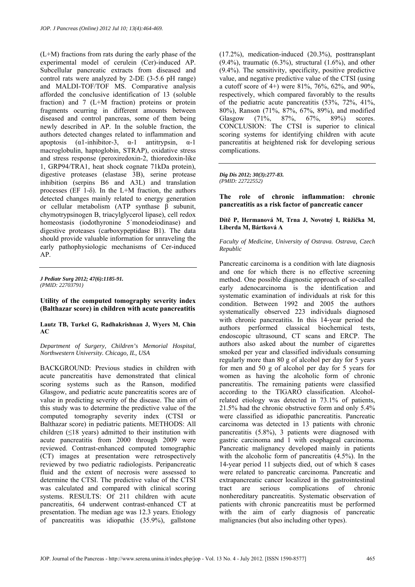(L+M) fractions from rats during the early phase of the experimental model of cerulein (Cer)-induced AP. Subcellular pancreatic extracts from diseased and control rats were analyzed by 2-DE (3-5.6 pH range) and MALDI-TOF/TOF MS. Comparative analysis afforded the conclusive identification of 13 (soluble fraction) and 7 (L+M fraction) proteins or protein fragments ocurring in different amounts between diseased and control pancreas, some of them being newly described in AP. In the soluble fraction, the authors detected changes related to inflammation and apoptosis  $(\alpha 1$ -inhibitor-3,  $\alpha$ -1 antitrypsin,  $\alpha$ -1 macroglobulin, haptoglobin, STRAP), oxidative stress and stress response (peroxiredoxin-2, thioredoxin-like 1, GRP94/TRA1, heat shock cognate 71kDa protein), digestive proteases (elastase 3B), serine protease inhibition (serpins B6 and A3L) and translation processes (EF 1- $\delta$ ). In the L+M fraction, the authors detected changes mainly related to energy generation or cellular metabolism (ATP synthase β subunit, chymotrypsinogen B, triacylglycerol lipase), cell redox homeostasis (iodothyronine 5'monodeiodinase) and digestive proteases (carboxypeptidase B1). The data should provide valuable information for unraveling the early pathophysiologic mechanisms of Cer-induced AP.

*J Pediatr Surg 2012; 47(6):1185-91. (PMID: 22703791)* 

**Utility of the computed tomography severity index (Balthazar score) in children with acute pancreatitis** 

**Lautz TB, Turkel G, Radhakrishnan J, Wyers M, Chin AC** 

*Department of Surgery, Children's Memorial Hospital, Northwestern University. Chicago, IL, USA* 

BACKGROUND: Previous studies in children with acute pancreatitis have demonstrated that clinical scoring systems such as the Ranson, modified Glasgow, and pediatric acute pancreatitis scores are of value in predicting severity of the disease. The aim of this study was to determine the predictive value of the computed tomography severity index (CTSI or Balthazar score) in pediatric patients. METHODS: All children  $(≤18 \text{ years})$  admitted to their institution with acute pancreatitis from 2000 through 2009 were reviewed. Contrast-enhanced computed tomographic (CT) images at presentation were retrospectively reviewed by two pediatric radiologists. Peripancreatic fluid and the extent of necrosis were assessed to determine the CTSI. The predictive value of the CTSI was calculated and compared with clinical scoring systems. RESULTS: Of 211 children with acute pancreatitis, 64 underwent contrast-enhanced CT at presentation. The median age was 12.3 years. Etiology of pancreatitis was idiopathic (35.9%), gallstone

(17.2%), medication-induced (20.3%), posttransplant  $(9.4\%)$ , traumatic  $(6.3\%)$ , structural  $(1.6\%)$ , and other (9.4%). The sensitivity, specificity, positive predictive value, and negative predictive value of the CTSI (using a cutoff score of 4+) were 81%, 76%, 62%, and 90%, respectively, which compared favorably to the results of the pediatric acute pancreatitis (53%, 72%, 41%, 80%), Ranson (71%, 87%, 67%, 89%), and modified Glasgow (71%, 87%, 67%, 89%) scores. CONCLUSION: The CTSI is superior to clinical scoring systems for identifying children with acute pancreatitis at heightened risk for developing serious complications.

*Dig Dis 2012; 30(3):277-83. (PMID: 22722552)* 

**The role of chronic inflammation: chronic pancreatitis as a risk factor of pancreatic cancer** 

### **Dítě P, Hermanová M, Trna J, Novotný I, Růžička M, Liberda M, Bártková A**

*Faculty of Medicine, University of Ostrava. Ostrava, Czech Republic* 

Pancreatic carcinoma is a condition with late diagnosis and one for which there is no effective screening method. One possible diagnostic approach of so-called early adenocarcinoma is the identification and systematic examination of individuals at risk for this condition. Between 1992 and 2005 the authors systematically observed 223 individuals diagnosed with chronic pancreatitis. In this 14-year period the authors performed classical biochemical tests, endoscopic ultrasound, CT scans and ERCP. The authors also asked about the number of cigarettes smoked per year and classified individuals consuming regularly more than 80 g of alcohol per day for 5 years for men and 50 g of alcohol per day for 5 years for women as having the alcoholic form of chronic pancreatitis. The remaining patients were classified according to the TIGARO classification. Alcoholrelated etiology was detected in 73.1% of patients, 21.5% had the chronic obstructive form and only 5.4% were classified as idiopathic pancreatitis. Pancreatic carcinoma was detected in 13 patients with chronic pancreatitis (5.8%), 3 patients were diagnosed with gastric carcinoma and 1 with esophageal carcinoma. Pancreatic malignancy developed mainly in patients with the alcoholic form of pancreatitis  $(4.5\%)$ . In the 14-year period 11 subjects died, out of which 8 cases were related to pancreatic carcinoma. Pancreatic and extrapancreatic cancer localized in the gastrointestinal tract are serious complications of chronic nonhereditary pancreatitis. Systematic observation of patients with chronic pancreatitis must be performed with the aim of early diagnosis of pancreatic malignancies (but also including other types).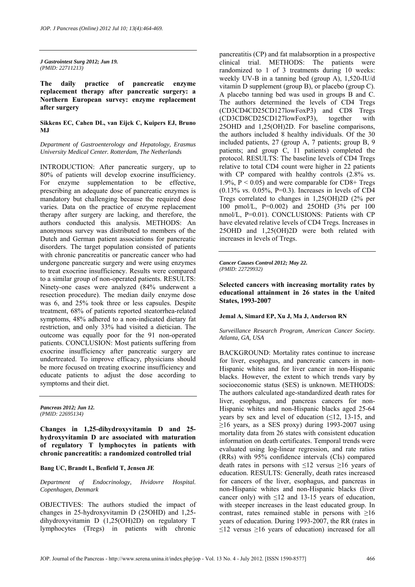*J Gastrointest Surg 2012; Jun 19. (PMID: 22711213)* 

**The daily practice of pancreatic enzyme replacement therapy after pancreatic surgery: a Northern European survey: enzyme replacement after surgery** 

**Sikkens EC, Cahen DL, van Eijck C, Kuipers EJ, Bruno MJ** 

*Department of Gastroenterology and Hepatology, Erasmus University Medical Center. Rotterdam, The Netherlands* 

INTRODUCTION: After pancreatic surgery, up to 80% of patients will develop exocrine insufficiency. For enzyme supplementation to be effective, prescribing an adequate dose of pancreatic enzymes is mandatory but challenging because the required dose varies. Data on the practice of enzyme replacement therapy after surgery are lacking, and therefore, the authors conducted this analysis. METHODS: An anonymous survey was distributed to members of the Dutch and German patient associations for pancreatic disorders. The target population consisted of patients with chronic pancreatitis or pancreatic cancer who had undergone pancreatic surgery and were using enzymes to treat exocrine insufficiency. Results were compared to a similar group of non-operated patients. RESULTS: Ninety-one cases were analyzed (84% underwent a resection procedure). The median daily enzyme dose was 6, and 25% took three or less capsules. Despite treatment, 68% of patients reported steatorrhea-related symptoms, 48% adhered to a non-indicated dietary fat restriction, and only 33% had visited a dietician. The outcome was equally poor for the 91 non-operated patients. CONCLUSION: Most patients suffering from exocrine insufficiency after pancreatic surgery are undertreated. To improve efficacy, physicians should be more focused on treating exocrine insufficiency and educate patients to adjust the dose according to symptoms and their diet.

*Pancreas 2012; Jun 12. (PMID: 22695134)* 

**Changes in 1,25-dihydroxyvitamin D and 25 hydroxyvitamin D are associated with maturation of regulatory T lymphocytes in patients with chronic pancreatitis: a randomized controlled trial** 

**Bang UC, Brandt L, Benfield T, Jensen JE** 

*Department of Endocrinology, Hvidovre Hospital. Copenhagen, Denmark* 

OBJECTIVES: The authors studied the impact of changes in 25-hydroxyvitamin D (25OHD) and 1,25 dihydroxyvitamin D (1,25(OH)2D) on regulatory T lymphocytes (Tregs) in patients with chronic

pancreatitis (CP) and fat malabsorption in a prospective clinical trial. METHODS: The patients were randomized to 1 of 3 treatments during 10 weeks: weekly UV-B in a tanning bed (group A), 1,520-IU/d vitamin D supplement (group B), or placebo (group C). A placebo tanning bed was used in groups B and C. The authors determined the levels of CD4 Tregs (CD3CD4CD25CD127lowFoxP3) and CD8 Tregs (CD3CD8CD25CD127lowFoxP3), together with 25OHD and 1,25(OH)2D. For baseline comparisons, the authors included 8 healthy individuals. Of the 30 included patients, 27 (group A, 7 patients; group B, 9 patients; and group C, 11 patients) completed the protocol. RESULTS: The baseline levels of CD4 Tregs relative to total CD4 count were higher in 22 patients with CP compared with healthy controls (2.8% *vs*. 1.9%,  $P < 0.05$ ) and were comparable for CD8+ Tregs (0.13% *vs*. 0.05%, P=0.3). Increases in levels of CD4 Tregs correlated to changes in 1,25(OH)2D (2% per 100 pmol/L, P=0.002) and 25OHD (3% per 100 nmol/L, P=0.01). CONCLUSIONS: Patients with CP have elevated relative levels of CD4 Tregs. Increases in 25OHD and 1,25(OH)2D were both related with increases in levels of Tregs.

*Cancer Causes Control 2012; May 22. (PMID: 22729932)* 

**Selected cancers with increasing mortality rates by educational attainment in 26 states in the United States, 1993-2007** 

# **Jemal A, Simard EP, Xu J, Ma J, Anderson RN**

*Surveillance Research Program, American Cancer Society. Atlanta, GA, USA* 

BACKGROUND: Mortality rates continue to increase for liver, esophagus, and pancreatic cancers in non-Hispanic whites and for liver cancer in non-Hispanic blacks. However, the extent to which trends vary by socioeconomic status (SES) is unknown. METHODS: The authors calculated age-standardized death rates for liver, esophagus, and pancreas cancers for non-Hispanic whites and non-Hispanic blacks aged 25-64 years by sex and level of education (≤12, 13-15, and  $>16$  years, as a SES proxy) during 1993-2007 using mortality data from 26 states with consistent education information on death certificates. Temporal trends were evaluated using log-linear regression, and rate ratios (RRs) with 95% confidence intervals (CIs) compared death rates in persons with ≤12 versus ≥16 years of education. RESULTS: Generally, death rates increased for cancers of the liver, esophagus, and pancreas in non-Hispanic whites and non-Hispanic blacks (liver cancer only) with  $\leq 12$  and 13-15 years of education, with steeper increases in the least educated group. In contrast, rates remained stable in persons with  $\geq 16$ years of education. During 1993-2007, the RR (rates in  $\leq$ 12 versus  $\geq$ 16 years of education) increased for all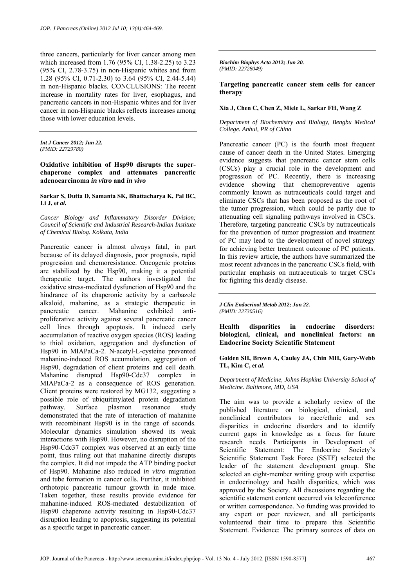three cancers, particularly for liver cancer among men which increased from 1.76 (95% CI, 1.38-2.25) to 3.23 (95% CI, 2.78-3.75) in non-Hispanic whites and from 1.28 (95% CI, 0.71-2.30) to 3.64 (95% CI, 2.44-5.44) in non-Hispanic blacks. CONCLUSIONS: The recent increase in mortality rates for liver, esophagus, and pancreatic cancers in non-Hispanic whites and for liver cancer in non-Hispanic blacks reflects increases among those with lower education levels.

*Int J Cancer 2012; Jun 22. (PMID: 22729780)* 

**Oxidative inhibition of Hsp90 disrupts the superchaperone complex and attenuates pancreatic adenocarcinoma** *in vitro* **and** *in vivo*

### **Sarkar S, Dutta D, Samanta SK, Bhattacharya K, Pal BC, Li J, e***t al.*

*Cancer Biology and Inflammatory Disorder Division; Council of Scientific and Industrial Research-Indian Institute of Chemical Biolog. Kolkata, India* 

Pancreatic cancer is almost always fatal, in part because of its delayed diagnosis, poor prognosis, rapid progression and chemoresistance. Oncogenic proteins are stabilized by the Hsp90, making it a potential therapeutic target. The authors investigated the oxidative stress-mediated dysfunction of Hsp90 and the hindrance of its chaperonic activity by a carbazole alkaloid, mahanine, as a strategic therapeutic in pancreatic cancer. Mahanine exhibited antiproliferative activity against several pancreatic cancer cell lines through apoptosis. It induced early accumulation of reactive oxygen species (ROS) leading to thiol oxidation, aggregation and dysfunction of Hsp90 in MIAPaCa-2. N-acetyl-L-cysteine prevented mahanine-induced ROS accumulation, aggregation of Hsp90, degradation of client proteins and cell death. Mahanine disrupted Hsp90-Cdc37 complex in MIAPaCa-2 as a consequence of ROS generation. Client proteins were restored by MG132, suggesting a possible role of ubiquitinylated protein degradation pathway. Surface plasmon resonance study demonstrated that the rate of interaction of mahanine with recombinant Hsp90 is in the range of seconds. Molecular dynamics simulation showed its weak interactions with Hsp90. However, no disruption of the Hsp90-Cdc37 complex was observed at an early time point, thus ruling out that mahanine directly disrupts the complex. It did not impede the ATP binding pocket of Hsp90. Mahanine also reduced *in vitro* migration and tube formation in cancer cells. Further, it inhibited orthotopic pancreatic tumour growth in nude mice. Taken together, these results provide evidence for mahanine-induced ROS-mediated destabilization of Hsp90 chaperone activity resulting in Hsp90-Cdc37 disruption leading to apoptosis, suggesting its potential as a specific target in pancreatic cancer.

*Biochim Biophys Acta 2012; Jun 20. (PMID: 22728049)* 

# **Targeting pancreatic cancer stem cells for cancer therapy**

### **Xia J, Chen C, Chen Z, Miele L, Sarkar FH, Wang Z**

*Department of Biochemistry and Biology, Bengbu Medical College. Anhui, PR of China* 

Pancreatic cancer (PC) is the fourth most frequent cause of cancer death in the United States. Emerging evidence suggests that pancreatic cancer stem cells (CSCs) play a crucial role in the development and progression of PC. Recently, there is increasing evidence showing that chemopreventive agents commonly known as nutraceuticals could target and eliminate CSCs that has been proposed as the root of the tumor progression, which could be partly due to attenuating cell signaling pathways involved in CSCs. Therefore, targeting pancreatic CSCs by nutraceuticals for the prevention of tumor progression and treatment of PC may lead to the development of novel strategy for achieving better treatment outcome of PC patients. In this review article, the authors have summarized the most recent advances in the pancreatic CSCs field, with particular emphasis on nutraceuticals to target CSCs for fighting this deadly disease.

*J Clin Endocrinol Metab 2012; Jun 22. (PMID: 22730516)* 

**Health disparities in endocrine disorders: biological, clinical, and nonclinical factors: an Endocrine Society Scientific Statement** 

**Golden SH, Brown A, Cauley JA, Chin MH, Gary-Webb TL, Kim C, e***t al.*

*Department of Medicine, Johns Hopkins University School of Medicine. Baltimore, MD, USA* 

The aim was to provide a scholarly review of the published literature on biological, clinical, and nonclinical contributors to race/ethnic and sex disparities in endocrine disorders and to identify current gaps in knowledge as a focus for future research needs. Participants in Development of Scientific Statement: The Endocrine Society's Scientific Statement Task Force (SSTF) selected the leader of the statement development group. She selected an eight-member writing group with expertise in endocrinology and health disparities, which was approved by the Society. All discussions regarding the scientific statement content occurred via teleconference or written correspondence. No funding was provided to any expert or peer reviewer, and all participants volunteered their time to prepare this Scientific Statement. Evidence: The primary sources of data on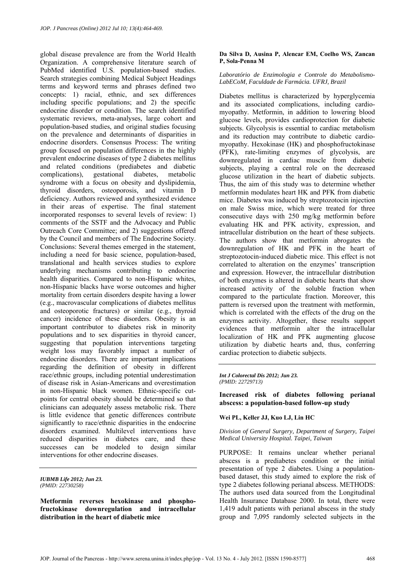global disease prevalence are from the World Health Organization. A comprehensive literature search of PubMed identified U.S. population-based studies. Search strategies combining Medical Subject Headings terms and keyword terms and phrases defined two concepts: 1) racial, ethnic, and sex differences including specific populations; and 2) the specific endocrine disorder or condition. The search identified systematic reviews, meta-analyses, large cohort and population-based studies, and original studies focusing on the prevalence and determinants of disparities in endocrine disorders. Consensus Process: The writing group focused on population differences in the highly prevalent endocrine diseases of type 2 diabetes mellitus and related conditions (prediabetes and diabetic complications) gestational diabetes metabolic syndrome with a focus on obesity and dyslipidemia, thyroid disorders, osteoporosis, and vitamin D deficiency. Authors reviewed and synthesized evidence in their areas of expertise. The final statement incorporated responses to several levels of review: 1) comments of the SSTF and the Advocacy and Public Outreach Core Committee; and 2) suggestions offered by the Council and members of The Endocrine Society. Conclusions: Several themes emerged in the statement, including a need for basic science, population-based, translational and health services studies to explore underlying mechanisms contributing to endocrine health disparities. Compared to non-Hispanic whites, non-Hispanic blacks have worse outcomes and higher mortality from certain disorders despite having a lower (e.g., macrovascular complications of diabetes mellitus and osteoporotic fractures) or similar (e.g., thyroid cancer) incidence of these disorders. Obesity is an important contributor to diabetes risk in minority populations and to sex disparities in thyroid cancer, suggesting that population interventions targeting weight loss may favorably impact a number of endocrine disorders. There are important implications regarding the definition of obesity in different race/ethnic groups, including potential underestimation of disease risk in Asian-Americans and overestimation in non-Hispanic black women. Ethnic-specific cutpoints for central obesity should be determined so that clinicians can adequately assess metabolic risk. There is little evidence that genetic differences contribute significantly to race/ethnic disparities in the endocrine disorders examined. Multilevel interventions have reduced disparities in diabetes care, and these successes can be modeled to design similar interventions for other endocrine diseases.

#### *IUBMB Life 2012; Jun 23. (PMID: 22730258)*

**Metformin reverses hexokinase and phosphofructokinase downregulation and intracellular distribution in the heart of diabetic mice** 

# **Da Silva D, Ausina P, Alencar EM, Coelho WS, Zancan P, Sola-Penna M**

### *Laboratório de Enzimologia e Controle do Metabolismo-LabECoM, Faculdade de Farmácia. UFRJ, Brazil*

Diabetes mellitus is characterized by hyperglycemia and its associated complications, including cardiomyopathy. Metformin, in addition to lowering blood glucose levels, provides cardioprotection for diabetic subjects. Glycolysis is essential to cardiac metabolism and its reduction may contribute to diabetic cardiomyopathy. Hexokinase (HK) and phosphofructokinase (PFK), rate-limiting enzymes of glycolysis, are downregulated in cardiac muscle from diabetic subjects, playing a central role on the decreased glucose utilization in the heart of diabetic subjects. Thus, the aim of this study was to determine whether metformin modulates heart HK and PFK from diabetic mice. Diabetes was induced by streptozotocin injection on male Swiss mice, which were treated for three consecutive days with 250 mg/kg metformin before evaluating HK and PFK activity, expression, and intracellular distribution on the heart of these subjects. The authors show that metformin abrogates the downregulation of HK and PFK in the heart of streptozotocin-induced diabetic mice. This effect is not correlated to alteration on the enzymes' transcription and expression. However, the intracellular distribution of both enzymes is altered in diabetic hearts that show increased activity of the soluble fraction when compared to the particulate fraction. Moreover, this pattern is reversed upon the treatment with metformin, which is correlated with the effects of the drug on the enzymes activity. Altogether, these results support evidences that metformin alter the intracellular localization of HK and PFK augmenting glucose utilization by diabetic hearts and, thus, conferring cardiac protection to diabetic subjects.

*Int J Colorectal Dis 2012; Jun 23. (PMID: 22729713)* 

**Increased risk of diabetes following perianal abscess: a population-based follow-up study** 

# **Wei PL, Keller JJ, Kuo LJ, Lin HC**

*Division of General Surgery, Department of Surgery, Taipei Medical University Hospital. Taipei, Taiwan* 

PURPOSE: It remains unclear whether perianal abscess is a prediabetes condition or the initial presentation of type 2 diabetes. Using a populationbased dataset, this study aimed to explore the risk of type 2 diabetes following perianal abscess. METHODS: The authors used data sourced from the Longitudinal Health Insurance Database 2000. In total, there were 1,419 adult patients with perianal abscess in the study group and 7,095 randomly selected subjects in the